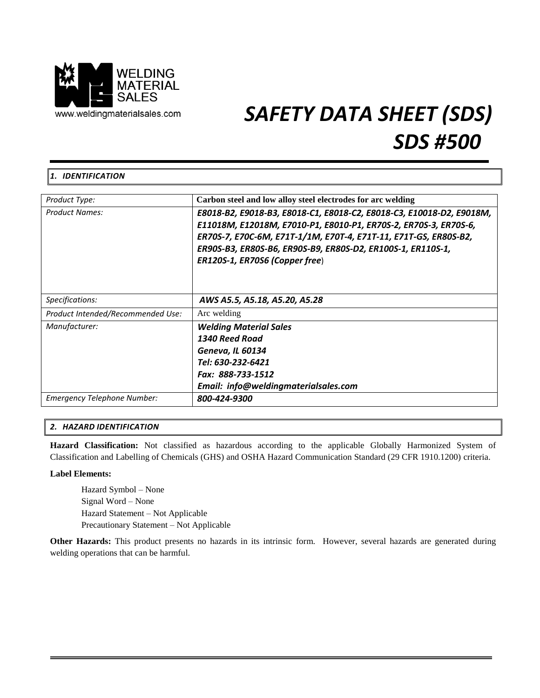

# *SAFETY DATA SHEET (SDS) SDS #500*

# *1. IDENTIFICATION*

| Product Type:                      | Carbon steel and low alloy steel electrodes for arc welding                                                                                                                                                                                                                                                   |
|------------------------------------|---------------------------------------------------------------------------------------------------------------------------------------------------------------------------------------------------------------------------------------------------------------------------------------------------------------|
| <b>Product Names:</b>              | E8018-B2, E9018-B3, E8018-C1, E8018-C2, E8018-C3, E10018-D2, E9018M,<br>E11018M, E12018M, E7010-P1, E8010-P1, ER70S-2, ER70S-3, ER70S-6,<br>ER70S-7, E70C-6M, E71T-1/1M, E70T-4, E71T-11, E71T-GS, ER80S-B2,<br>ER90S-B3, ER80S-B6, ER90S-B9, ER80S-D2, ER100S-1, ER110S-1,<br>ER120S-1, ER70S6 (Copper free) |
| Specifications:                    | AWS A5.5, A5.18, A5.20, A5.28                                                                                                                                                                                                                                                                                 |
| Product Intended/Recommended Use:  | Arc welding                                                                                                                                                                                                                                                                                                   |
| Manufacturer:                      | <b>Welding Material Sales</b>                                                                                                                                                                                                                                                                                 |
|                                    | 1340 Reed Road                                                                                                                                                                                                                                                                                                |
|                                    | Geneva, IL 60134                                                                                                                                                                                                                                                                                              |
|                                    | Tel: 630-232-6421                                                                                                                                                                                                                                                                                             |
|                                    | Fax: 888-733-1512                                                                                                                                                                                                                                                                                             |
|                                    | Email: info@weldingmaterialsales.com                                                                                                                                                                                                                                                                          |
| <b>Emergency Telephone Number:</b> | 800-424-9300                                                                                                                                                                                                                                                                                                  |

# *2. HAZARD IDENTIFICATION*

**Hazard Classification:** Not classified as hazardous according to the applicable Globally Harmonized System of Classification and Labelling of Chemicals (GHS) and OSHA Hazard Communication Standard (29 CFR 1910.1200) criteria.

# **Label Elements:**

Hazard Symbol – None Signal Word – None Hazard Statement – Not Applicable Precautionary Statement – Not Applicable

**Other Hazards:** This product presents no hazards in its intrinsic form. However, several hazards are generated during welding operations that can be harmful.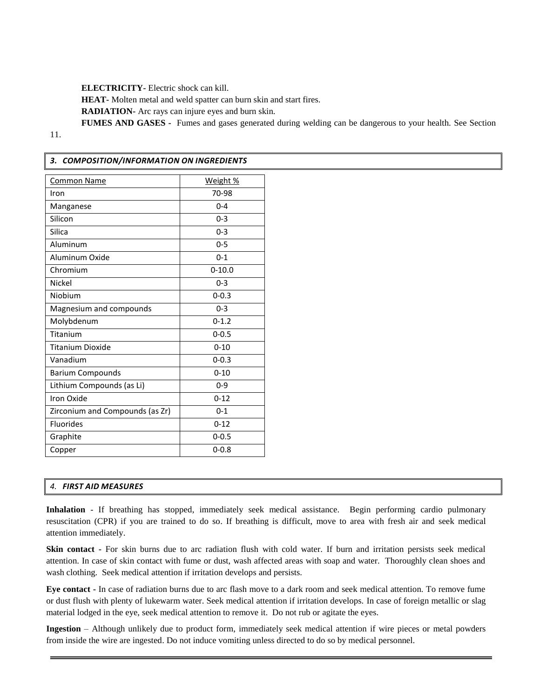**ELECTRICITY-** Electric shock can kill.

**HEAT-** Molten metal and weld spatter can burn skin and start fires.

**RADIATION-** Arc rays can injure eyes and burn skin.

**FUMES AND GASES -** Fumes and gases generated during welding can be dangerous to your health. See Section

11.

# *3. COMPOSITION/INFORMATION ON INGREDIENTS*

| <b>Common Name</b>              | Weight %   |
|---------------------------------|------------|
| Iron                            | 70-98      |
| Manganese                       | $0 - 4$    |
| Silicon                         | $0 - 3$    |
| Silica                          | $0 - 3$    |
| Aluminum                        | $0 - 5$    |
| Aluminum Oxide                  | $0 - 1$    |
| Chromium                        | $0 - 10.0$ |
| Nickel                          | $0 - 3$    |
| Niobium                         | $0 - 0.3$  |
| Magnesium and compounds         | $0 - 3$    |
| Molybdenum                      | $0 - 1.2$  |
| Titanium                        | $0 - 0.5$  |
| <b>Titanium Dioxide</b>         | $0 - 10$   |
| Vanadium                        | $0 - 0.3$  |
| <b>Barium Compounds</b>         | $0 - 10$   |
| Lithium Compounds (as Li)       | $0 - 9$    |
| Iron Oxide                      | $0 - 12$   |
| Zirconium and Compounds (as Zr) | $0 - 1$    |
| <b>Fluorides</b>                | $0 - 12$   |
| Graphite                        | $0 - 0.5$  |
| Copper                          | $0 - 0.8$  |

# *4. FIRST AID MEASURES*

**Inhalation** - If breathing has stopped, immediately seek medical assistance. Begin performing cardio pulmonary resuscitation (CPR) if you are trained to do so. If breathing is difficult, move to area with fresh air and seek medical attention immediately.

**Skin contact -** For skin burns due to arc radiation flush with cold water. If burn and irritation persists seek medical attention. In case of skin contact with fume or dust, wash affected areas with soap and water. Thoroughly clean shoes and wash clothing. Seek medical attention if irritation develops and persists.

**Eye contact -** In case of radiation burns due to arc flash move to a dark room and seek medical attention. To remove fume or dust flush with plenty of lukewarm water. Seek medical attention if irritation develops. In case of foreign metallic or slag material lodged in the eye, seek medical attention to remove it. Do not rub or agitate the eyes.

**Ingestion** – Although unlikely due to product form, immediately seek medical attention if wire pieces or metal powders from inside the wire are ingested. Do not induce vomiting unless directed to do so by medical personnel.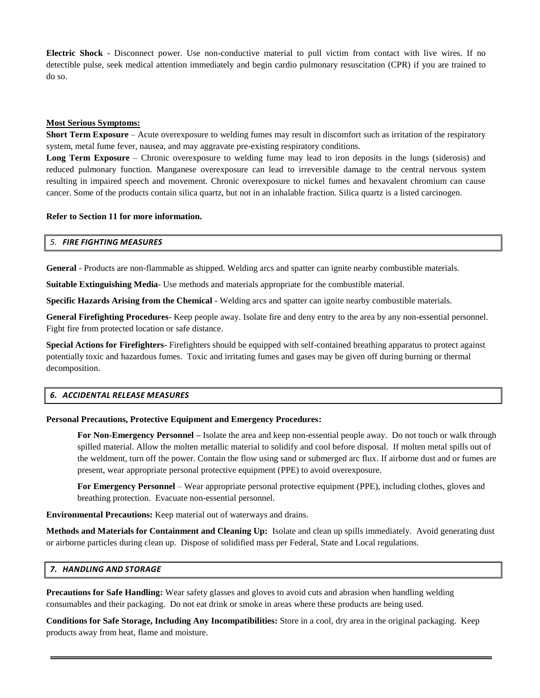**Electric Shock** - Disconnect power. Use non-conductive material to pull victim from contact with live wires. If no detectible pulse, seek medical attention immediately and begin cardio pulmonary resuscitation (CPR) if you are trained to do so.

## **Most Serious Symptoms:**

**Short Term Exposure** – Acute overexposure to welding fumes may result in discomfort such as irritation of the respiratory system, metal fume fever, nausea, and may aggravate pre-existing respiratory conditions.

**Long Term Exposure** – Chronic overexposure to welding fume may lead to iron deposits in the lungs (siderosis) and reduced pulmonary function. Manganese overexposure can lead to irreversible damage to the central nervous system resulting in impaired speech and movement. Chronic overexposure to nickel fumes and hexavalent chromium can cause cancer. Some of the products contain silica quartz, but not in an inhalable fraction. Silica quartz is a listed carcinogen.

## **Refer to Section 11 for more information.**

## *5. FIRE FIGHTING MEASURES*

**General** - Products are non-flammable as shipped. Welding arcs and spatter can ignite nearby combustible materials.

**Suitable Extinguishing Media**- Use methods and materials appropriate for the combustible material.

**Specific Hazards Arising from the Chemical -** Welding arcs and spatter can ignite nearby combustible materials.

**General Firefighting Procedures**- Keep people away. Isolate fire and deny entry to the area by any non-essential personnel. Fight fire from protected location or safe distance.

**Special Actions for Firefighters-** Firefighters should be equipped with self-contained breathing apparatus to protect against potentially toxic and hazardous fumes. Toxic and irritating fumes and gases may be given off during burning or thermal decomposition.

## *6. ACCIDENTAL RELEASE MEASURES*

## **Personal Precautions, Protective Equipment and Emergency Procedures:**

**For Non-Emergency Personnel –** Isolate the area and keep non-essential people away. Do not touch or walk through spilled material. Allow the molten metallic material to solidify and cool before disposal. If molten metal spills out of the weldment, turn off the power. Contain the flow using sand or submerged arc flux. If airborne dust and or fumes are present, wear appropriate personal protective equipment (PPE) to avoid overexposure.

**For Emergency Personnel** – Wear appropriate personal protective equipment (PPE), including clothes, gloves and breathing protection. Evacuate non-essential personnel.

**Environmental Precautions:** Keep material out of waterways and drains.

**Methods and Materials for Containment and Cleaning Up:** Isolate and clean up spills immediately. Avoid generating dust or airborne particles during clean up. Dispose of solidified mass per Federal, State and Local regulations.

## *7. HANDLING AND STORAGE*

**Precautions for Safe Handling:** Wear safety glasses and gloves to avoid cuts and abrasion when handling welding consumables and their packaging. Do not eat drink or smoke in areas where these products are being used.

**Conditions for Safe Storage, Including Any Incompatibilities:** Store in a cool, dry area in the original packaging. Keep products away from heat, flame and moisture.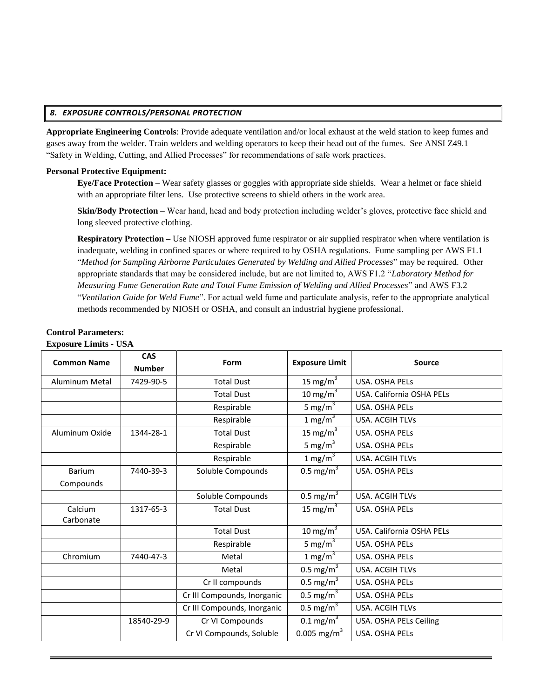## *8. EXPOSURE CONTROLS/PERSONAL PROTECTION*

**Appropriate Engineering Controls**: Provide adequate ventilation and/or local exhaust at the weld station to keep fumes and gases away from the welder. Train welders and welding operators to keep their head out of the fumes. See ANSI Z49.1 "Safety in Welding, Cutting, and Allied Processes" for recommendations of safe work practices.

## **Personal Protective Equipment:**

**Eye/Face Protection** – Wear safety glasses or goggles with appropriate side shields. Wear a helmet or face shield with an appropriate filter lens. Use protective screens to shield others in the work area.

**Skin/Body Protection** – Wear hand, head and body protection including welder's gloves, protective face shield and long sleeved protective clothing.

**Respiratory Protection –** Use NIOSH approved fume respirator or air supplied respirator when where ventilation is inadequate, welding in confined spaces or where required to by OSHA regulations. Fume sampling per AWS F1.1 "*Method for Sampling Airborne Particulates Generated by Welding and Allied Processes*" may be required. Other appropriate standards that may be considered include, but are not limited to, AWS F1.2 "*Laboratory Method for Measuring Fume Generation Rate and Total Fume Emission of Welding and Allied Processes*" and AWS F3.2 "*Ventilation Guide for Weld Fume*". For actual weld fume and particulate analysis, refer to the appropriate analytical methods recommended by NIOSH or OSHA, and consult an industrial hygiene professional.

| едрозите еници с сотъ |                    |                             |                           |                           |
|-----------------------|--------------------|-----------------------------|---------------------------|---------------------------|
| <b>Common Name</b>    | <b>CAS</b><br>Form |                             | <b>Exposure Limit</b>     | <b>Source</b>             |
|                       | <b>Number</b>      |                             |                           |                           |
| <b>Aluminum Metal</b> | 7429-90-5          | <b>Total Dust</b>           | 15 mg/m $3$               | USA. OSHA PELS            |
|                       |                    | <b>Total Dust</b>           | 10 mg/m $3$               | USA. California OSHA PELs |
|                       |                    | Respirable                  | 5 mg/m <sup>3</sup>       | USA. OSHA PELS            |
|                       |                    | Respirable                  | 1 mg/m $3$                | USA. ACGIH TLVs           |
| Aluminum Oxide        | 1344-28-1          | <b>Total Dust</b>           | 15 mg/m $3$               | USA. OSHA PELS            |
|                       |                    | Respirable                  | 5 mg/m $3$                | USA. OSHA PELS            |
|                       |                    | Respirable                  | 1 mg/m <sup>3</sup>       | <b>USA. ACGIH TLVs</b>    |
| <b>Barium</b>         | 7440-39-3          | Soluble Compounds           | $0.5 \text{ mg/m}^3$      | USA. OSHA PELS            |
| Compounds             |                    |                             |                           |                           |
|                       |                    | Soluble Compounds           | $0.5 \text{ mg/m}^3$      | USA. ACGIH TLVs           |
| Calcium               | 1317-65-3          | <b>Total Dust</b>           | 15 mg/m <sup>3</sup>      | USA. OSHA PELS            |
| Carbonate             |                    |                             |                           |                           |
|                       |                    | <b>Total Dust</b>           | 10 mg/m $3$               | USA. California OSHA PELs |
|                       |                    | Respirable                  | 5 mg/m <sup>3</sup>       | USA. OSHA PELS            |
| Chromium              | 7440-47-3          | Metal                       | 1 mg/m $3$                | USA. OSHA PELS            |
|                       |                    | Metal                       | $0.5 \text{ mg/m}^3$      | USA. ACGIH TLVs           |
|                       |                    | Cr II compounds             | $0.5 \text{ mg/m}^3$      | USA. OSHA PELS            |
|                       |                    | Cr III Compounds, Inorganic | $0.5 \text{ mg/m}^3$      | USA. OSHA PELS            |
|                       |                    | Cr III Compounds, Inorganic | $0.5 \text{ mg/m}^3$      | USA. ACGIH TLVs           |
|                       | 18540-29-9         | Cr VI Compounds             | $0.1 \,\mathrm{mg/m}^3$   | USA. OSHA PELs Ceiling    |
|                       |                    | Cr VI Compounds, Soluble    | $0.005$ mg/m <sup>3</sup> | USA. OSHA PELS            |

#### **Control Parameters: Exposure Limits - USA**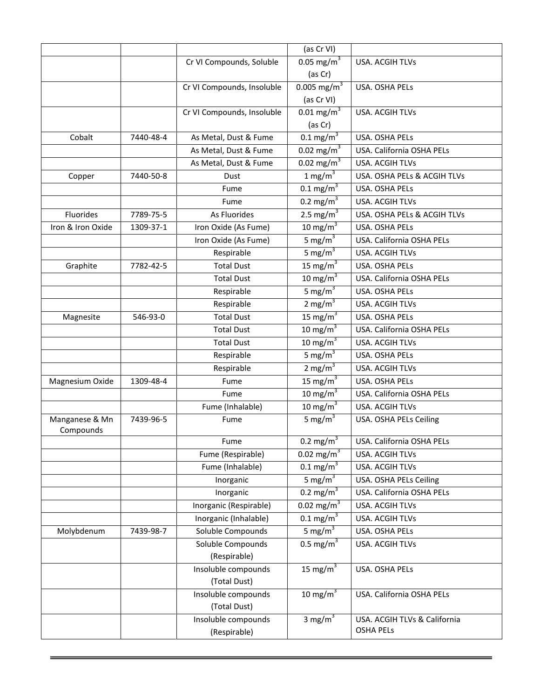|                             |           |                            | (as Cr VI)                       |                              |
|-----------------------------|-----------|----------------------------|----------------------------------|------------------------------|
|                             |           | Cr VI Compounds, Soluble   | 0.05 mg/m <sup>3</sup>           | USA. ACGIH TLVs              |
|                             |           |                            | (as Cr)                          |                              |
|                             |           | Cr VI Compounds, Insoluble | 0.005 mg/m <sup>3</sup>          | USA. OSHA PELS               |
|                             |           |                            | (as Cr VI)                       |                              |
|                             |           | Cr VI Compounds, Insoluble | $0.01 \text{ mg/m}^3$            | USA. ACGIH TLVs              |
|                             |           |                            | (as Cr)                          |                              |
| Cobalt                      | 7440-48-4 | As Metal, Dust & Fume      | $0.1 \text{ mg/m}^3$             | USA. OSHA PELS               |
|                             |           | As Metal, Dust & Fume      | $0.02 \text{ mg/m}^3$            | USA. California OSHA PELs    |
|                             |           | As Metal, Dust & Fume      | 0.02 mg/m <sup>3</sup>           | USA. ACGIH TLVs              |
| Copper                      | 7440-50-8 | Dust                       | 1 mg/m $3$                       | USA. OSHA PELs & ACGIH TLVs  |
|                             |           | Fume                       | $0.1 \text{ mg/m}^3$             | USA. OSHA PELs               |
|                             |           | Fume                       | 0.2 mg/m <sup>3</sup>            | <b>USA. ACGIH TLVs</b>       |
| Fluorides                   | 7789-75-5 | As Fluorides               | 2.5 mg/m <sup>3</sup>            | USA. OSHA PELs & ACGIH TLVs  |
| Iron & Iron Oxide           | 1309-37-1 | Iron Oxide (As Fume)       | 10 mg/m $3$                      | USA. OSHA PELs               |
|                             |           | Iron Oxide (As Fume)       | 5 mg/m $3$                       | USA. California OSHA PELs    |
|                             |           | Respirable                 | 5 mg/m $3$                       | USA. ACGIH TLVs              |
| Graphite                    | 7782-42-5 | <b>Total Dust</b>          | 15 mg/m $3$                      | USA. OSHA PELS               |
|                             |           | <b>Total Dust</b>          | 10 mg/m $3$                      | USA. California OSHA PELs    |
|                             |           | Respirable                 | 5 mg/ $m3$                       | USA. OSHA PELs               |
|                             |           | Respirable                 | $2 \text{ mg/m}^3$               | <b>USA. ACGIH TLVs</b>       |
| Magnesite                   | 546-93-0  | <b>Total Dust</b>          | 15 mg/m $3$                      | USA. OSHA PELS               |
|                             |           | <b>Total Dust</b>          | 10 mg/m $3$                      | USA. California OSHA PELs    |
|                             |           | <b>Total Dust</b>          | 10 mg/m $3$                      | USA. ACGIH TLVs              |
|                             |           | Respirable                 | 5 mg/m $3$                       | USA. OSHA PELS               |
|                             |           | Respirable                 | $2 \text{ mg/m}^3$               | USA. ACGIH TLVs              |
| Magnesium Oxide             | 1309-48-4 | Fume                       | 15 mg/m $3$                      | USA. OSHA PELs               |
|                             |           | Fume                       | 10 mg/m $3$                      | USA. California OSHA PELs    |
|                             |           | Fume (Inhalable)           | 10 mg/m $3$                      | USA. ACGIH TLVs              |
| Manganese & Mn<br>Compounds | 7439-96-5 | Fume                       | 5 mg/m $3$                       | USA. OSHA PELs Ceiling       |
|                             |           | Fume                       | $0.2 \overline{\mathrm{mg/m}^3}$ | USA. California OSHA PELs    |
|                             |           | Fume (Respirable)          | 0.02 mg/m <sup>3</sup>           | USA. ACGIH TLVs              |
|                             |           | Fume (Inhalable)           | $0.1 \text{ mg/m}^3$             | USA. ACGIH TLVs              |
|                             |           | Inorganic                  | 5 mg/m $3$                       | USA. OSHA PELs Ceiling       |
|                             |           | Inorganic                  | 0.2 mg/m <sup>3</sup>            | USA. California OSHA PELs    |
|                             |           | Inorganic (Respirable)     | 0.02 mg/m <sup>3</sup>           | USA. ACGIH TLVs              |
|                             |           | Inorganic (Inhalable)      | $0.1 \text{ mg/m}^3$             | USA. ACGIH TLVs              |
| Molybdenum                  | 7439-98-7 | Soluble Compounds          | 5 mg/m $3$                       | USA. OSHA PELs               |
|                             |           | Soluble Compounds          | 0.5 mg/m <sup>3</sup>            | USA. ACGIH TLVs              |
|                             |           | (Respirable)               |                                  |                              |
|                             |           | Insoluble compounds        | 15 mg/m <sup>3</sup>             | USA. OSHA PELs               |
|                             |           | (Total Dust)               |                                  |                              |
|                             |           | Insoluble compounds        | 10 mg/ $\overline{m^3}$          | USA. California OSHA PELs    |
|                             |           | (Total Dust)               |                                  |                              |
|                             |           | Insoluble compounds        | 3 mg/m $3$                       | USA. ACGIH TLVs & California |
|                             |           | (Respirable)               |                                  | <b>OSHA PELS</b>             |
|                             |           |                            |                                  |                              |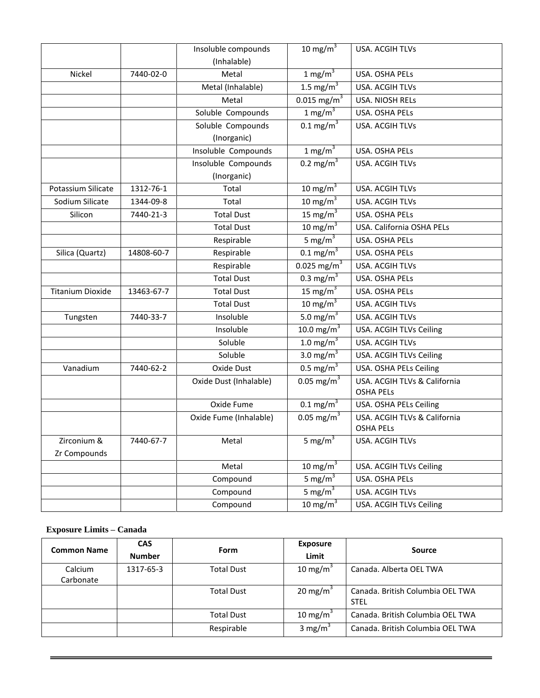|                         |            | Insoluble compounds    | 10 mg/m $3$               | USA. ACGIH TLVs                                  |
|-------------------------|------------|------------------------|---------------------------|--------------------------------------------------|
|                         |            | (Inhalable)            |                           |                                                  |
| <b>Nickel</b>           | 7440-02-0  | Metal                  | 1 mg/m $3$                | USA. OSHA PELS                                   |
|                         |            | Metal (Inhalable)      | 1.5 mg/ $m^3$             | <b>USA. ACGIH TLVs</b>                           |
|                         |            | Metal                  | $0.015 \text{ mg/m}^3$    | USA. NIOSH RELs                                  |
|                         |            | Soluble Compounds      | 1 mg/m $3$                | USA. OSHA PELs                                   |
|                         |            | Soluble Compounds      | $0.1 \,\mathrm{mg/m}^3$   | <b>USA. ACGIH TLVs</b>                           |
|                         |            | (Inorganic)            |                           |                                                  |
|                         |            | Insoluble Compounds    | 1 mg/m $3$                | USA. OSHA PELS                                   |
|                         |            | Insoluble Compounds    | 0.2 mg/m <sup>3</sup>     | USA. ACGIH TLVs                                  |
|                         |            | (Inorganic)            |                           |                                                  |
| Potassium Silicate      | 1312-76-1  | Total                  | $10 \text{ mg/m}^3$       | <b>USA. ACGIH TLVs</b>                           |
| Sodium Silicate         | 1344-09-8  | Total                  | 10 mg/m $3$               | USA. ACGIH TLVs                                  |
| Silicon                 | 7440-21-3  | <b>Total Dust</b>      | 15 mg/m $3$               | USA. OSHA PELS                                   |
|                         |            | <b>Total Dust</b>      | 10 mg/m $3$               | USA. California OSHA PELs                        |
|                         |            | Respirable             | 5 mg/m $3$                | USA. OSHA PELS                                   |
| Silica (Quartz)         | 14808-60-7 | Respirable             | $0.1 \text{ mg/m}^3$      | USA. OSHA PELS                                   |
|                         |            | Respirable             | $0.025$ mg/m <sup>3</sup> | <b>USA. ACGIH TLVs</b>                           |
|                         |            | <b>Total Dust</b>      | 0.3 mg/m <sup>3</sup>     | USA. OSHA PELs                                   |
| <b>Titanium Dioxide</b> | 13463-67-7 | <b>Total Dust</b>      | 15 mg/m $3$               | USA. OSHA PELs                                   |
|                         |            | <b>Total Dust</b>      | 10 mg/m $3$               | <b>USA. ACGIH TLVs</b>                           |
| Tungsten                | 7440-33-7  | Insoluble              | 5.0 mg/m <sup>3</sup>     | USA. ACGIH TLVs                                  |
|                         |            | Insoluble              | 10.0 mg/m <sup>3</sup>    | USA. ACGIH TLVs Ceiling                          |
|                         |            | Soluble                | 1.0 mg/m <sup>3</sup>     | USA. ACGIH TLVs                                  |
|                         |            | Soluble                | 3.0 mg/m <sup>3</sup>     | USA. ACGIH TLVs Ceiling                          |
| Vanadium                | 7440-62-2  | Oxide Dust             | 0.5 mg/m <sup>3</sup>     | USA. OSHA PELs Ceiling                           |
|                         |            | Oxide Dust (Inhalable) | 0.05 mg/m <sup>3</sup>    | USA. ACGIH TLVs & California<br><b>OSHA PELS</b> |
|                         |            | Oxide Fume             | $0.1 \text{ mg/m}^3$      | USA. OSHA PELs Ceiling                           |
|                         |            | Oxide Fume (Inhalable) | 0.05 mg/m <sup>3</sup>    | USA. ACGIH TLVs & California<br><b>OSHA PELS</b> |
| Zirconium &             | 7440-67-7  | Metal                  | 5 mg/m <sup>3</sup>       | USA. ACGIH TLVs                                  |
| Zr Compounds            |            |                        |                           |                                                  |
|                         |            | Metal                  | 10 mg/ $\overline{m^3}$   | USA. ACGIH TLVs Ceiling                          |
|                         |            | Compound               | 5 mg/m $3$                | USA. OSHA PELs                                   |
|                         |            | Compound               | 5 mg/m <sup>3</sup>       | USA. ACGIH TLVs                                  |
|                         |            | Compound               | 10 mg/m $3$               | USA. ACGIH TLVs Ceiling                          |
|                         |            |                        |                           |                                                  |

# **Exposure Limits – Canada**

| Common Name | <b>CAS</b><br><b>Number</b> | Form              | <b>Exposure</b><br>Limit | <b>Source</b>                                   |
|-------------|-----------------------------|-------------------|--------------------------|-------------------------------------------------|
| Calcium     | 1317-65-3                   | <b>Total Dust</b> | 10 mg/m <sup>3</sup>     | Canada. Alberta OEL TWA                         |
| Carbonate   |                             |                   |                          |                                                 |
|             |                             | <b>Total Dust</b> | 20 mg/m <sup>3</sup>     | Canada. British Columbia OEL TWA<br><b>STEL</b> |
|             |                             | <b>Total Dust</b> | 10 mg/m <sup>3</sup>     | Canada. British Columbia OEL TWA                |
|             |                             | Respirable        | 3 mg/m <sup>3</sup>      | Canada. British Columbia OEL TWA                |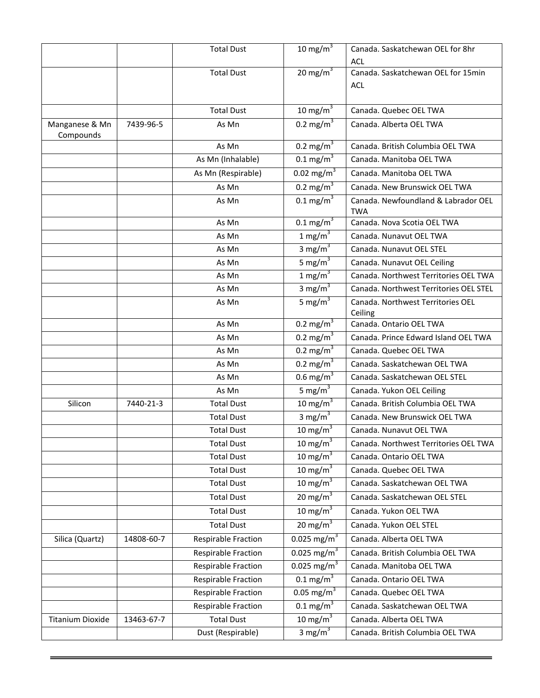|                             |            | <b>Total Dust</b>          | 10 mg/m $3$               | Canada. Saskatchewan OEL for 8hr                  |
|-----------------------------|------------|----------------------------|---------------------------|---------------------------------------------------|
|                             |            |                            |                           | <b>ACL</b>                                        |
|                             |            | <b>Total Dust</b>          | 20 mg/ $m^3$              | Canada. Saskatchewan OEL for 15min                |
|                             |            |                            |                           | <b>ACL</b>                                        |
|                             |            |                            |                           |                                                   |
|                             |            | <b>Total Dust</b>          | 10 mg/m $3$               | Canada. Quebec OEL TWA                            |
| Manganese & Mn<br>Compounds | 7439-96-5  | As Mn                      | 0.2 mg/m <sup>3</sup>     | Canada. Alberta OEL TWA                           |
|                             |            | As Mn                      | 0.2 mg/m <sup>3</sup>     | Canada. British Columbia OEL TWA                  |
|                             |            | As Mn (Inhalable)          | $0.1 \text{ mg/m}^3$      | Canada. Manitoba OEL TWA                          |
|                             |            | As Mn (Respirable)         | $0.02 \text{ mg/m}^3$     | Canada. Manitoba OEL TWA                          |
|                             |            | As Mn                      | $0.2 \text{ mg/m}^3$      | Canada. New Brunswick OEL TWA                     |
|                             |            | As Mn                      | $0.1 \,\mathrm{mg/m}^3$   | Canada. Newfoundland & Labrador OEL<br><b>TWA</b> |
|                             |            | As Mn                      | $0.1 \text{ mg/m}^3$      | Canada. Nova Scotia OEL TWA                       |
|                             |            | As Mn                      | 1 mg/m $3$                | Canada. Nunavut OEL TWA                           |
|                             |            | As Mn                      | 3 mg/m $3$                | Canada. Nunavut OEL STEL                          |
|                             |            | As Mn                      | 5 mg/m $3$                | Canada. Nunavut OEL Ceiling                       |
|                             |            | As Mn                      | 1 mg/m <sup>3</sup>       | Canada. Northwest Territories OEL TWA             |
|                             |            | As Mn                      | 3 $mg/m^3$                | Canada. Northwest Territories OEL STEL            |
|                             |            | As Mn                      | 5 mg/m <sup>3</sup>       | Canada. Northwest Territories OEL<br>Ceiling      |
|                             |            | As Mn                      | $0.2 \text{ mg/m}^3$      | Canada. Ontario OEL TWA                           |
|                             |            | As Mn                      | $0.2 \text{ mg/m}^3$      | Canada. Prince Edward Island OEL TWA              |
|                             |            | As Mn                      | 0.2 mg/ $\overline{m}^3$  | Canada. Quebec OEL TWA                            |
|                             |            | As Mn                      | $0.2 \text{ mg/m}^3$      | Canada. Saskatchewan OEL TWA                      |
|                             |            | As Mn                      | 0.6 mg/m <sup>3</sup>     | Canada. Saskatchewan OEL STEL                     |
|                             |            | As Mn                      | 5 mg/m $3$                | Canada. Yukon OEL Ceiling                         |
| Silicon                     | 7440-21-3  | <b>Total Dust</b>          | 10 mg/ $\overline{m^3}$   | Canada. British Columbia OEL TWA                  |
|                             |            | <b>Total Dust</b>          | 3 mg/m $3$                | Canada. New Brunswick OEL TWA                     |
|                             |            | <b>Total Dust</b>          | 10 mg/ $m^3$              | Canada, Nunavut OEL TWA                           |
|                             |            | <b>Total Dust</b>          | 10 mg/m $3$               | Canada. Northwest Territories OEL TWA             |
|                             |            | <b>Total Dust</b>          | 10 mg/m $3$               | Canada. Ontario OEL TWA                           |
|                             |            | <b>Total Dust</b>          | 10 mg/m $3$               | Canada. Quebec OEL TWA                            |
|                             |            | <b>Total Dust</b>          | 10 mg/m $3$               | Canada. Saskatchewan OEL TWA                      |
|                             |            | <b>Total Dust</b>          | 20 mg/m $\sqrt{3}$        | Canada. Saskatchewan OEL STEL                     |
|                             |            | <b>Total Dust</b>          | 10 mg/m $3$               | Canada. Yukon OEL TWA                             |
|                             |            | <b>Total Dust</b>          | 20 mg/m $3$               | Canada. Yukon OEL STEL                            |
| Silica (Quartz)             | 14808-60-7 | <b>Respirable Fraction</b> | $0.025$ mg/m <sup>3</sup> | Canada. Alberta OEL TWA                           |
|                             |            | <b>Respirable Fraction</b> | $0.025$ mg/m <sup>3</sup> | Canada. British Columbia OEL TWA                  |
|                             |            | Respirable Fraction        | $0.025$ mg/m <sup>3</sup> | Canada. Manitoba OEL TWA                          |
|                             |            | <b>Respirable Fraction</b> | $0.1 \,\mathrm{mg/m}^3$   | Canada. Ontario OEL TWA                           |
|                             |            | <b>Respirable Fraction</b> | $0.05 \text{ mg/m}^3$     | Canada. Quebec OEL TWA                            |
|                             |            | <b>Respirable Fraction</b> | $0.1 \text{ mg/m}^3$      | Canada. Saskatchewan OEL TWA                      |
| <b>Titanium Dioxide</b>     | 13463-67-7 | <b>Total Dust</b>          | 10 mg/m $3$               | Canada. Alberta OEL TWA                           |
|                             |            | Dust (Respirable)          | 3 mg/m $3$                | Canada. British Columbia OEL TWA                  |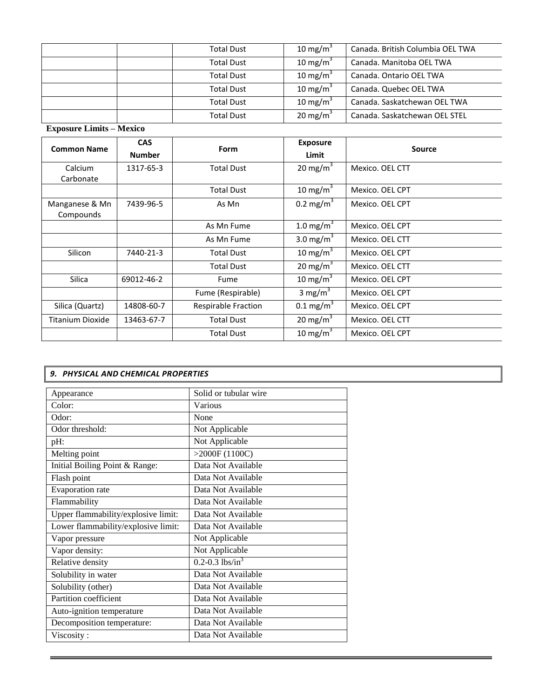| <b>Total Dust</b> | 10 mg/m <sup>3</sup> | Canada. British Columbia OEL TWA |
|-------------------|----------------------|----------------------------------|
| <b>Total Dust</b> | 10 mg/m <sup>3</sup> | Canada. Manitoba OEL TWA         |
| <b>Total Dust</b> | 10 mg/m <sup>3</sup> | Canada, Ontario OEL TWA          |
| <b>Total Dust</b> | 10 mg/m <sup>3</sup> | Canada. Quebec OEL TWA           |
| <b>Total Dust</b> | 10 mg/m $3$          | Canada. Saskatchewan OEL TWA     |
| <b>Total Dust</b> | 20 mg/m <sup>3</sup> | Canada. Saskatchewan OEL STEL    |
|                   |                      |                                  |

**Exposure Limits – Mexico**

| <b>Common Name</b>          | <b>CAS</b><br><b>Number</b> | Form                                      | <b>Exposure</b><br>Limit | <b>Source</b>   |
|-----------------------------|-----------------------------|-------------------------------------------|--------------------------|-----------------|
| Calcium<br>Carbonate        | 1317-65-3                   | <b>Total Dust</b>                         | 20 mg/m $3$              | Mexico. OEL CTT |
|                             |                             | <b>Total Dust</b>                         | 10 mg/m $3$              | Mexico. OEL CPT |
| Manganese & Mn<br>Compounds | 7439-96-5                   | As Mn                                     | $0.2 \text{ mg/m}^3$     | Mexico. OEL CPT |
|                             |                             | 1.0 mg/m <sup>3</sup><br>As Mn Fume       |                          | Mexico. OEL CPT |
|                             | As Mn Fume                  |                                           | 3.0 mg/m <sup>3</sup>    | Mexico. OEL CTT |
| Silicon                     | 7440-21-3                   | <b>Total Dust</b>                         |                          | Mexico. OEL CPT |
|                             |                             | 20 mg/m <sup>3</sup><br><b>Total Dust</b> |                          | Mexico. OEL CTT |
| <b>Silica</b>               | 69012-46-2                  | Fume                                      | 10 mg/m $3$              | Mexico. OEL CPT |
|                             |                             | Fume (Respirable)                         | 3 mg/m <sup>3</sup>      | Mexico. OEL CPT |
| Silica (Quartz)             | 14808-60-7                  | Respirable Fraction                       | $0.1 \text{ mg/m}^3$     | Mexico. OEL CPT |
| Titanium Dioxide            | 13463-67-7                  | <b>Total Dust</b>                         | 20 mg/m <sup>3</sup>     | Mexico. OEL CTT |
|                             |                             | <b>Total Dust</b>                         | 10 mg/m $3$              | Mexico. OEL CPT |

# *9. PHYSICAL AND CHEMICAL PROPERTIES*

| Appearance                          | Solid or tubular wire           |
|-------------------------------------|---------------------------------|
| Color:                              | Various                         |
| Odor:                               | None                            |
| Odor threshold:                     | Not Applicable                  |
| pH:                                 | Not Applicable                  |
| Melting point                       | >2000F(1100C)                   |
| Initial Boiling Point & Range:      | Data Not Available              |
| Flash point                         | Data Not Available              |
| Evaporation rate                    | Data Not Available              |
| Flammability                        | Data Not Available              |
| Upper flammability/explosive limit: | Data Not Available              |
| Lower flammability/explosive limit: | Data Not Available              |
| Vapor pressure                      | Not Applicable                  |
| Vapor density:                      | Not Applicable                  |
| Relative density                    | $0.2 - 0.3$ lbs/in <sup>3</sup> |
| Solubility in water                 | Data Not Available              |
| Solubility (other)                  | Data Not Available              |
| Partition coefficient               | Data Not Available              |
| Auto-ignition temperature           | Data Not Available              |
| Decomposition temperature:          | Data Not Available              |
| Viscosity:                          | Data Not Available              |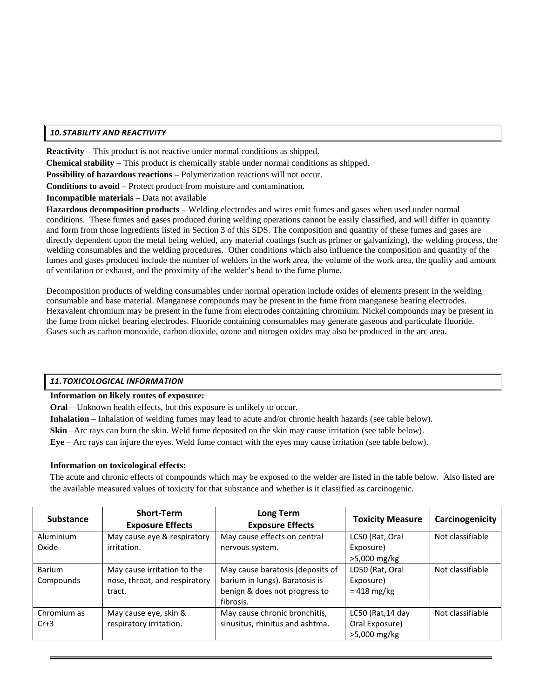# *10.STABILITY AND REACTIVITY*

**Reactivity –** This product is not reactive under normal conditions as shipped.

**Chemical stability** – This product is chemically stable under normal conditions as shipped.

**Possibility of hazardous reactions –** Polymerization reactions will not occur.

**Conditions to avoid –** Protect product from moisture and contamination.

**Incompatible materials** – Data not available

**Hazardous decomposition products –** Welding electrodes and wires emit fumes and gases when used under normal conditions. These fumes and gases produced during welding operations cannot be easily classified, and will differ in quantity and form from those ingredients listed in Section 3 of this SDS. The composition and quantity of these fumes and gases are directly dependent upon the metal being welded, any material coatings (such as primer or galvanizing), the welding process, the welding consumables and the welding procedures. Other conditions which also influence the composition and quantity of the fumes and gases produced include the number of welders in the work area, the volume of the work area, the quality and amount of ventilation or exhaust, and the proximity of the welder's head to the fume plume.

Decomposition products of welding consumables under normal operation include oxides of elements present in the welding consumable and base material. Manganese compounds may be present in the fume from manganese bearing electrodes. Hexavalent chromium may be present in the fume from electrodes containing chromium. Nickel compounds may be present in the fume from nickel bearing electrodes. Fluoride containing consumables may generate gaseous and particulate fluoride. Gases such as carbon monoxide, carbon dioxide, ozone and nitrogen oxides may also be produced in the arc area.

# *11.TOXICOLOGICAL INFORMATION*

# **Information on likely routes of exposure:**

**Oral** – Unknown health effects, but this exposure is unlikely to occur.

**Inhalation** – Inhalation of welding fumes may lead to acute and/or chronic health hazards (see table below).

**Skin** –Arc rays can burn the skin. Weld fume deposited on the skin may cause irritation (see table below).

**Eye** – Arc rays can injure the eyes. Weld fume contact with the eyes may cause irritation (see table below).

# **Information on toxicological effects:**

The acute and chronic effects of compounds which may be exposed to the welder are listed in the table below. Also listed are the available measured values of toxicity for that substance and whether is it classified as carcinogenic.

| <b>Substance</b> | <b>Short-Term</b><br><b>Exposure Effects</b> | Long Term<br><b>Exposure Effects</b> | <b>Toxicity Measure</b> | Carcinogenicity  |
|------------------|----------------------------------------------|--------------------------------------|-------------------------|------------------|
| Aluminium        | May cause eye & respiratory                  | May cause effects on central         | LC50 (Rat, Oral         | Not classifiable |
| Oxide            | irritation.                                  | nervous system.                      | Exposure)               |                  |
|                  |                                              |                                      | >5,000 mg/kg            |                  |
| <b>Barium</b>    | May cause irritation to the                  | May cause baratosis (deposits of     | LD50 (Rat, Oral         | Not classifiable |
| Compounds        | nose, throat, and respiratory                | barium in lungs). Baratosis is       | Exposure)               |                  |
|                  | tract.                                       | benign & does not progress to        | $= 418$ mg/kg           |                  |
|                  |                                              | fibrosis.                            |                         |                  |
| Chromium as      | May cause eye, skin &                        | May cause chronic bronchitis,        | $LC50$ (Rat, 14 day     | Not classifiable |
| $Cr+3$           | respiratory irritation.                      | sinusitus, rhinitus and ashtma.      | Oral Exposure)          |                  |
|                  |                                              |                                      | >5,000 mg/kg            |                  |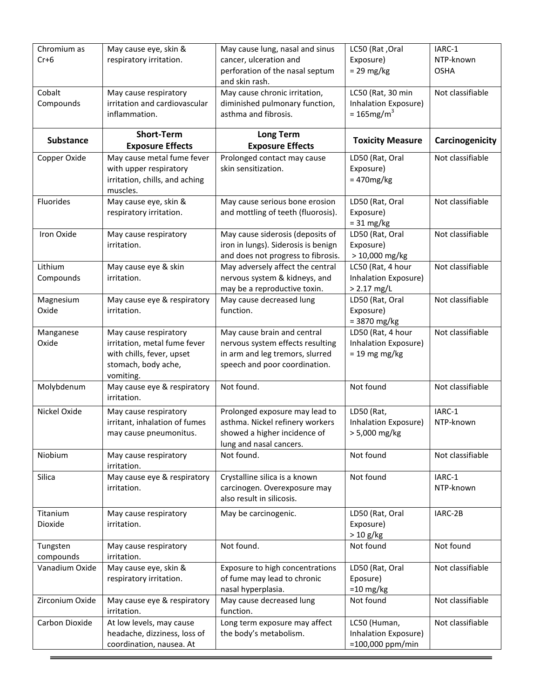| Chromium as<br>$Cr+6$ | May cause eye, skin &<br>respiratory irritation.          | May cause lung, nasal and sinus<br>cancer, ulceration and            | LC50 (Rat, Oral<br>Exposure)                      | IARC-1<br>NTP-known |
|-----------------------|-----------------------------------------------------------|----------------------------------------------------------------------|---------------------------------------------------|---------------------|
|                       |                                                           | perforation of the nasal septum                                      | $= 29$ mg/kg                                      | <b>OSHA</b>         |
|                       |                                                           | and skin rash.                                                       |                                                   |                     |
| Cobalt                | May cause respiratory                                     | May cause chronic irritation,                                        | LC50 (Rat, 30 min                                 | Not classifiable    |
| Compounds             | irritation and cardiovascular                             | diminished pulmonary function,<br>asthma and fibrosis.               | Inhalation Exposure)<br>$= 165$ mg/m <sup>3</sup> |                     |
|                       | inflammation.                                             |                                                                      |                                                   |                     |
| <b>Substance</b>      | <b>Short-Term</b><br><b>Exposure Effects</b>              | <b>Long Term</b><br><b>Exposure Effects</b>                          | <b>Toxicity Measure</b>                           | Carcinogenicity     |
| Copper Oxide          | May cause metal fume fever                                | Prolonged contact may cause                                          | LD50 (Rat, Oral                                   | Not classifiable    |
|                       | with upper respiratory                                    | skin sensitization.                                                  | Exposure)                                         |                     |
|                       | irritation, chills, and aching                            |                                                                      | $= 470$ mg/kg                                     |                     |
|                       | muscles.                                                  |                                                                      |                                                   |                     |
| Fluorides             | May cause eye, skin &<br>respiratory irritation.          | May cause serious bone erosion<br>and mottling of teeth (fluorosis). | LD50 (Rat, Oral<br>Exposure)                      | Not classifiable    |
|                       |                                                           |                                                                      | $= 31$ mg/kg                                      |                     |
| Iron Oxide            | May cause respiratory                                     | May cause siderosis (deposits of                                     | LD50 (Rat, Oral                                   | Not classifiable    |
|                       | irritation.                                               | iron in lungs). Siderosis is benign                                  | Exposure)                                         |                     |
|                       |                                                           | and does not progress to fibrosis.                                   | > 10,000 mg/kg                                    |                     |
| Lithium               | May cause eye & skin                                      | May adversely affect the central                                     | LC50 (Rat, 4 hour                                 | Not classifiable    |
| Compounds             | irritation.                                               | nervous system & kidneys, and<br>may be a reproductive toxin.        | Inhalation Exposure)<br>$> 2.17$ mg/L             |                     |
| Magnesium             | May cause eye & respiratory                               | May cause decreased lung                                             | LD50 (Rat, Oral                                   | Not classifiable    |
| Oxide                 | irritation.                                               | function.                                                            | Exposure)                                         |                     |
|                       |                                                           |                                                                      | $= 3870$ mg/kg                                    |                     |
| Manganese             | May cause respiratory                                     | May cause brain and central                                          | LD50 (Rat, 4 hour                                 | Not classifiable    |
| Oxide                 | irritation, metal fume fever<br>with chills, fever, upset | nervous system effects resulting<br>in arm and leg tremors, slurred  | Inhalation Exposure)                              |                     |
|                       | stomach, body ache,                                       | speech and poor coordination.                                        | $= 19$ mg mg/kg                                   |                     |
|                       | vomiting.                                                 |                                                                      |                                                   |                     |
| Molybdenum            | May cause eye & respiratory                               | Not found.                                                           | Not found                                         | Not classifiable    |
|                       | irritation.                                               |                                                                      |                                                   |                     |
| Nickel Oxide          | May cause respiratory<br>irritant, inhalation of fumes    | Prolonged exposure may lead to<br>asthma. Nickel refinery workers    | LD50 (Rat,<br>Inhalation Exposure)                | IARC-1<br>NTP-known |
|                       | may cause pneumonitus.                                    | showed a higher incidence of                                         | > 5,000 mg/kg                                     |                     |
|                       |                                                           | lung and nasal cancers.                                              |                                                   |                     |
| Niobium               | May cause respiratory<br>irritation.                      | Not found.                                                           | Not found                                         | Not classifiable    |
| Silica                | May cause eye & respiratory                               | Crystalline silica is a known                                        | Not found                                         | IARC-1              |
|                       | irritation.                                               | carcinogen. Overexposure may                                         |                                                   | NTP-known           |
|                       |                                                           | also result in silicosis.                                            |                                                   |                     |
| Titanium              | May cause respiratory                                     | May be carcinogenic.                                                 | LD50 (Rat, Oral                                   | IARC-2B             |
| Dioxide               | irritation.                                               |                                                                      | Exposure)                                         |                     |
|                       |                                                           | Not found.                                                           | $> 10$ g/kg<br>Not found                          | Not found           |
| Tungsten<br>compounds | May cause respiratory<br>irritation.                      |                                                                      |                                                   |                     |
| Vanadium Oxide        | May cause eye, skin &                                     | Exposure to high concentrations                                      | LD50 (Rat, Oral                                   | Not classifiable    |
|                       | respiratory irritation.                                   | of fume may lead to chronic                                          | Eposure)                                          |                     |
| Zirconium Oxide       |                                                           | nasal hyperplasia.<br>May cause decreased lung                       | $=$ 10 mg/kg<br>Not found                         | Not classifiable    |
|                       | May cause eye & respiratory<br>irritation.                | function.                                                            |                                                   |                     |
| Carbon Dioxide        | At low levels, may cause                                  | Long term exposure may affect                                        | LC50 (Human,                                      | Not classifiable    |
|                       | headache, dizziness, loss of                              | the body's metabolism.                                               | Inhalation Exposure)                              |                     |
|                       | coordination, nausea. At                                  |                                                                      | $=100,000$ ppm/min                                |                     |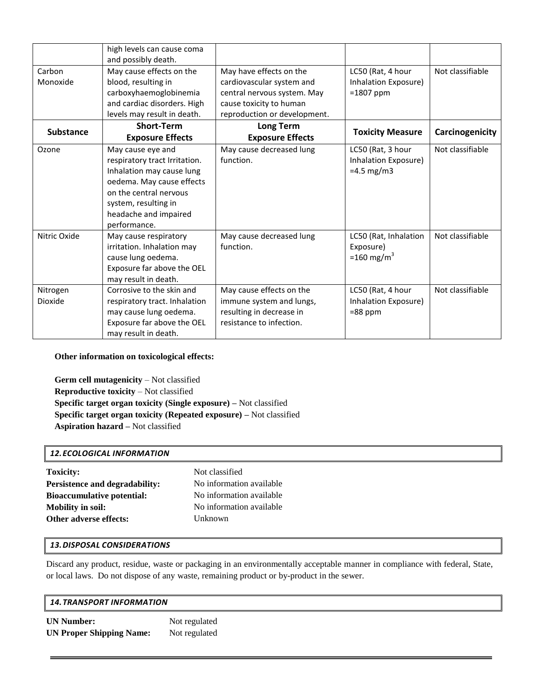|                     | high levels can cause coma<br>and possibly death.                                                                                                                                                       |                                                                                                                                                |                                                              |                  |
|---------------------|---------------------------------------------------------------------------------------------------------------------------------------------------------------------------------------------------------|------------------------------------------------------------------------------------------------------------------------------------------------|--------------------------------------------------------------|------------------|
| Carbon<br>Monoxide  | May cause effects on the<br>blood, resulting in<br>carboxyhaemoglobinemia<br>and cardiac disorders. High<br>levels may result in death.                                                                 | May have effects on the<br>cardiovascular system and<br>central nervous system. May<br>cause toxicity to human<br>reproduction or development. | LC50 (Rat, 4 hour<br>Inhalation Exposure)<br>$=1807$ ppm     | Not classifiable |
| <b>Substance</b>    | <b>Short-Term</b><br><b>Exposure Effects</b>                                                                                                                                                            | Long Term<br><b>Exposure Effects</b>                                                                                                           | <b>Toxicity Measure</b>                                      | Carcinogenicity  |
| Ozone               | May cause eye and<br>respiratory tract Irritation.<br>Inhalation may cause lung<br>oedema. May cause effects<br>on the central nervous<br>system, resulting in<br>headache and impaired<br>performance. | May cause decreased lung<br>function.                                                                                                          | LC50 (Rat, 3 hour<br>Inhalation Exposure)<br>$=4.5$ mg/m3    | Not classifiable |
| Nitric Oxide        | May cause respiratory<br>irritation. Inhalation may<br>cause lung oedema.<br>Exposure far above the OEL<br>may result in death.                                                                         | May cause decreased lung<br>function.                                                                                                          | LC50 (Rat, Inhalation<br>Exposure)<br>=160 mg/m <sup>3</sup> | Not classifiable |
| Nitrogen<br>Dioxide | Corrosive to the skin and<br>respiratory tract. Inhalation<br>may cause lung oedema.<br>Exposure far above the OEL<br>may result in death.                                                              | May cause effects on the<br>immune system and lungs,<br>resulting in decrease in<br>resistance to infection.                                   | LC50 (Rat, 4 hour<br>Inhalation Exposure)<br>$= 88$ ppm      | Not classifiable |

 **Other information on toxicological effects:** 

 **Germ cell mutagenicity** – Not classified  **Reproductive toxicity** – Not classified  **Specific target organ toxicity (Single exposure) –** Not classified  **Specific target organ toxicity (Repeated exposure) –** Not classified  **Aspiration hazard –** Not classified

# *12.ECOLOGICAL INFORMATION*

| <b>Toxicity:</b>                  | Not classified           |
|-----------------------------------|--------------------------|
| Persistence and degradability:    | No information available |
| <b>Bioaccumulative potential:</b> | No information available |
| <b>Mobility in soil:</b>          | No information available |
| Other adverse effects:            | Unknown                  |
|                                   |                          |

# *13.DISPOSAL CONSIDERATIONS*

Discard any product, residue, waste or packaging in an environmentally acceptable manner in compliance with federal, State, or local laws. Do not dispose of any waste, remaining product or by-product in the sewer.

| <b>14. TRANSPORT INFORMATION</b> |  |  |
|----------------------------------|--|--|
|                                  |  |  |

| <b>UN Number:</b>               | Not regulated |
|---------------------------------|---------------|
| <b>UN Proper Shipping Name:</b> | Not regulated |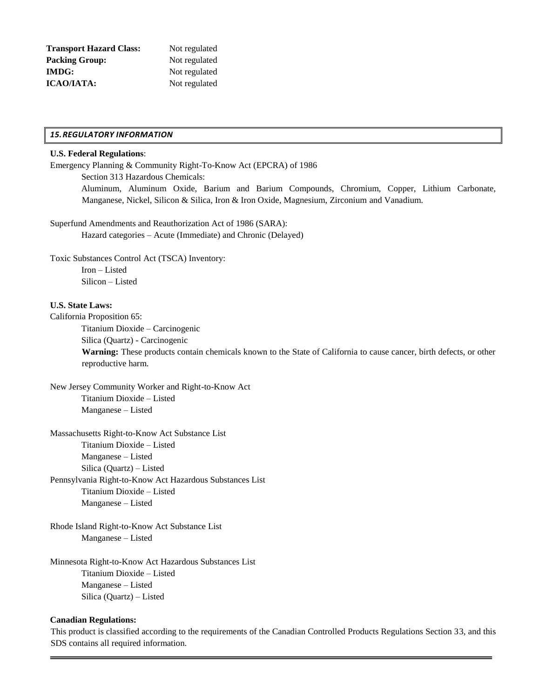| <b>Transport Hazard Class:</b> | Not regulated |  |  |
|--------------------------------|---------------|--|--|
| Packing Group:                 | Not regulated |  |  |
| <b>IMDG:</b>                   | Not regulated |  |  |
| <b>ICAO/IATA:</b>              | Not regulated |  |  |

## *15.REGULATORY INFORMATION*

## **U.S. Federal Regulations**:

Emergency Planning & Community Right-To-Know Act (EPCRA) of 1986

Section 313 Hazardous Chemicals:

Aluminum, Aluminum Oxide, Barium and Barium Compounds, Chromium, Copper, Lithium Carbonate, Manganese, Nickel, Silicon & Silica, Iron & Iron Oxide, Magnesium, Zirconium and Vanadium.

Superfund Amendments and Reauthorization Act of 1986 (SARA):

Hazard categories – Acute (Immediate) and Chronic (Delayed)

Toxic Substances Control Act (TSCA) Inventory:

Iron – Listed Silicon – Listed

## **U.S. State Laws:**

California Proposition 65:

Titanium Dioxide – Carcinogenic

Silica (Quartz) - Carcinogenic

**Warning:** These products contain chemicals known to the State of California to cause cancer, birth defects, or other reproductive harm.

New Jersey Community Worker and Right-to-Know Act Titanium Dioxide – Listed Manganese – Listed

Massachusetts Right-to-Know Act Substance List Titanium Dioxide – Listed Manganese – Listed Silica (Quartz) – Listed Pennsylvania Right-to-Know Act Hazardous Substances List

Titanium Dioxide – Listed Manganese – Listed

Rhode Island Right-to-Know Act Substance List Manganese – Listed

Minnesota Right-to-Know Act Hazardous Substances List Titanium Dioxide – Listed Manganese – Listed Silica (Quartz) – Listed

# **Canadian Regulations:**

 This product is classified according to the requirements of the Canadian Controlled Products Regulations Section 33, and this SDS contains all required information.